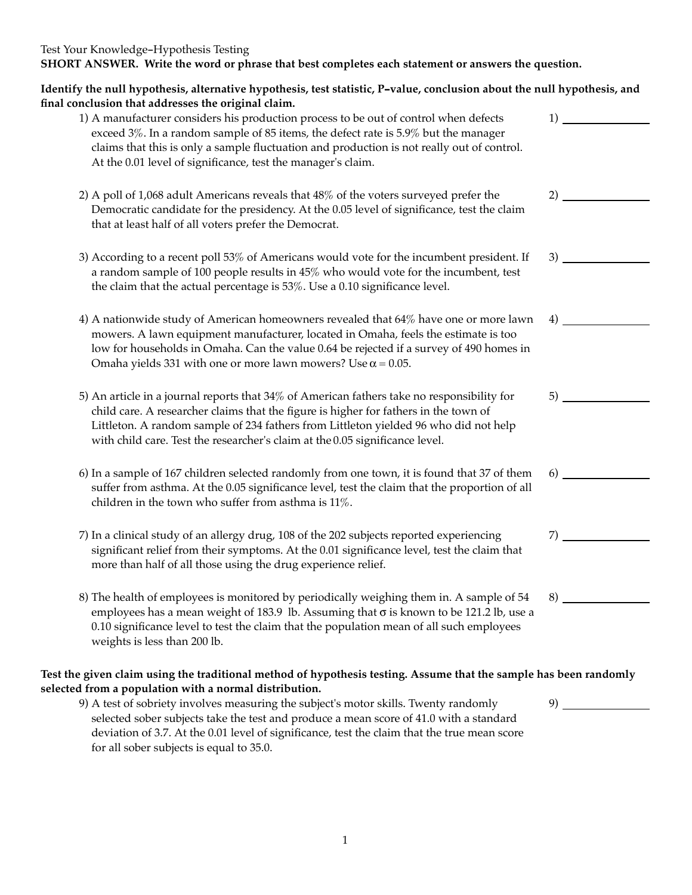| Test Your Knowledge-Hypothesis Testing                                                             |
|----------------------------------------------------------------------------------------------------|
| SHORT ANSWER. Write the word or phrase that best completes each statement or answers the question. |

| Identify the null hypothesis, alternative hypothesis, test statistic, P-value, conclusion about the null hypothesis, and<br>final conclusion that addresses the original claim.                                                                                                                                                                            |    |
|------------------------------------------------------------------------------------------------------------------------------------------------------------------------------------------------------------------------------------------------------------------------------------------------------------------------------------------------------------|----|
| 1) A manufacturer considers his production process to be out of control when defects<br>exceed 3%. In a random sample of 85 items, the defect rate is 5.9% but the manager<br>claims that this is only a sample fluctuation and production is not really out of control.<br>At the 0.01 level of significance, test the manager's claim.                   | 1) |
| 2) A poll of 1,068 adult Americans reveals that 48% of the voters surveyed prefer the<br>Democratic candidate for the presidency. At the 0.05 level of significance, test the claim<br>that at least half of all voters prefer the Democrat.                                                                                                               |    |
| 3) According to a recent poll 53% of Americans would vote for the incumbent president. If<br>a random sample of 100 people results in 45% who would vote for the incumbent, test<br>the claim that the actual percentage is 53%. Use a 0.10 significance level.                                                                                            | 3) |
| 4) A nationwide study of American homeowners revealed that 64% have one or more lawn<br>mowers. A lawn equipment manufacturer, located in Omaha, feels the estimate is too<br>low for households in Omaha. Can the value 0.64 be rejected if a survey of 490 homes in<br>Omaha yields 331 with one or more lawn mowers? Use $\alpha$ = 0.05.               | 4) |
| 5) An article in a journal reports that 34% of American fathers take no responsibility for<br>child care. A researcher claims that the figure is higher for fathers in the town of<br>Littleton. A random sample of 234 fathers from Littleton yielded 96 who did not help<br>with child care. Test the researcher's claim at the 0.05 significance level. | 5) |
| 6) In a sample of 167 children selected randomly from one town, it is found that 37 of them<br>suffer from asthma. At the 0.05 significance level, test the claim that the proportion of all<br>children in the town who suffer from asthma is $11\%$ .                                                                                                    | 6) |
| 7) In a clinical study of an allergy drug, 108 of the 202 subjects reported experiencing<br>significant relief from their symptoms. At the 0.01 significance level, test the claim that<br>more than half of all those using the drug experience relief.                                                                                                   | 7) |
| 8) The health of employees is monitored by periodically weighing them in. A sample of 54<br>employees has a mean weight of 183.9 lb. Assuming that $\sigma$ is known to be 121.2 lb, use a<br>0.10 significance level to test the claim that the population mean of all such employees<br>weights is less than 200 lb.                                     |    |
| Test the given claim using the traditional method of hypothesis testing. Assume that the sample has been randomly<br>selected from a population with a normal distribution.                                                                                                                                                                                |    |

9) A test of sobriety involves measuring the subject's motor skills. Twenty randomly selected sober subjects take the test and produce a mean score of 41.0 with a standard deviation of 3.7. At the 0.01 level of significance, test the claim that the true mean score for all sober subjects is equal to 35.0.

9)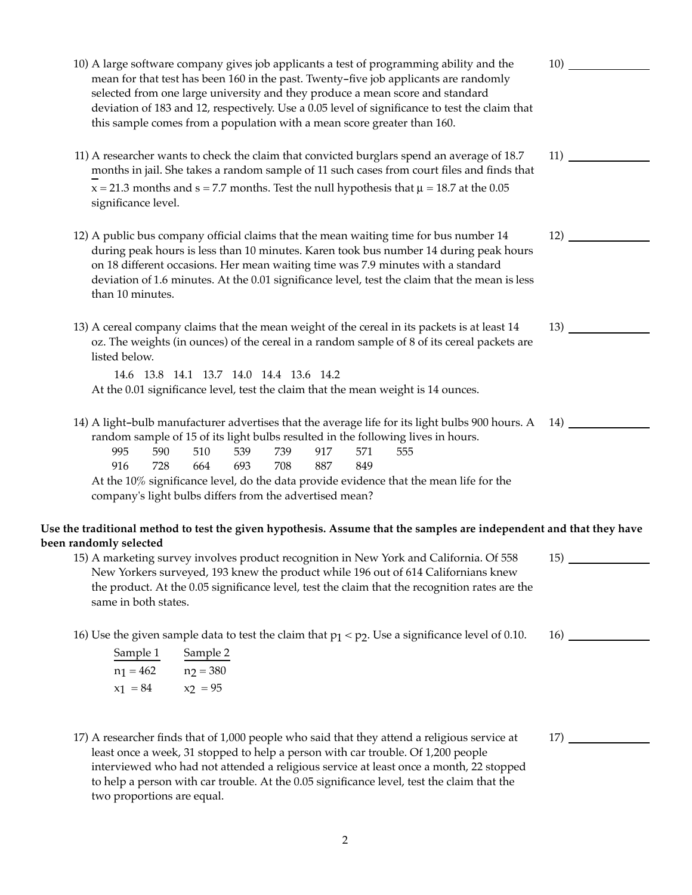| 10) A large software company gives job applicants a test of programming ability and the<br>mean for that test has been 160 in the past. Twenty-five job applicants are randomly<br>selected from one large university and they produce a mean score and standard<br>deviation of 183 and 12, respectively. Use a 0.05 level of significance to test the claim that<br>this sample comes from a population with a mean score greater than 160.     | 10)        |
|---------------------------------------------------------------------------------------------------------------------------------------------------------------------------------------------------------------------------------------------------------------------------------------------------------------------------------------------------------------------------------------------------------------------------------------------------|------------|
| 11) A researcher wants to check the claim that convicted burglars spend an average of 18.7<br>months in jail. She takes a random sample of 11 such cases from court files and finds that<br>$x = 21.3$ months and $s = 7.7$ months. Test the null hypothesis that $\mu = 18.7$ at the 0.05<br>significance level.                                                                                                                                 | 11)        |
| 12) A public bus company official claims that the mean waiting time for bus number 14<br>during peak hours is less than 10 minutes. Karen took bus number 14 during peak hours<br>on 18 different occasions. Her mean waiting time was 7.9 minutes with a standard<br>deviation of 1.6 minutes. At the 0.01 significance level, test the claim that the mean is less<br>than 10 minutes.                                                          | 12)        |
| 13) A cereal company claims that the mean weight of the cereal in its packets is at least 14<br>oz. The weights (in ounces) of the cereal in a random sample of 8 of its cereal packets are<br>listed below.<br>14.6 13.8 14.1 13.7 14.0 14.4 13.6 14.2                                                                                                                                                                                           | 13)        |
| At the 0.01 significance level, test the claim that the mean weight is 14 ounces.                                                                                                                                                                                                                                                                                                                                                                 |            |
| 14) A light-bulb manufacturer advertises that the average life for its light bulbs 900 hours. A<br>random sample of 15 of its light bulbs resulted in the following lives in hours.<br>995<br>510<br>590<br>539<br>739<br>917<br>571<br>555<br>728<br>693<br>708<br>887<br>916<br>664<br>849<br>At the 10% significance level, do the data provide evidence that the mean life for the<br>company's light bulbs differs from the advertised mean? | 14)        |
| Use the traditional method to test the given hypothesis. Assume that the samples are independent and that they have                                                                                                                                                                                                                                                                                                                               |            |
| been randomly selected<br>15) A marketing survey involves product recognition in New York and California. Of 558<br>New Yorkers surveyed, 193 knew the product while 196 out of 614 Californians knew<br>the product. At the 0.05 significance level, test the claim that the recognition rates are the<br>same in both states.                                                                                                                   | <b>15)</b> |
| 16) Use the given sample data to test the claim that $p_1 < p_2$ . Use a significance level of 0.10.<br>Sample 1<br>Sample 2<br>$n_1 = 462$ $n_2 = 380$<br>$x_1 = 84$<br>$x_2 = 95$                                                                                                                                                                                                                                                               |            |
| 17) A researcher finds that of 1,000 people who said that they attend a religious service at<br>least once a week, 31 stopped to help a person with car trouble. Of 1,200 people<br>interviewed who had not attended a religious service at least once a month, 22 stopped<br>to help a person with car trouble. At the 0.05 significance level, test the claim that the<br>two proportions are equal.                                            | 17)        |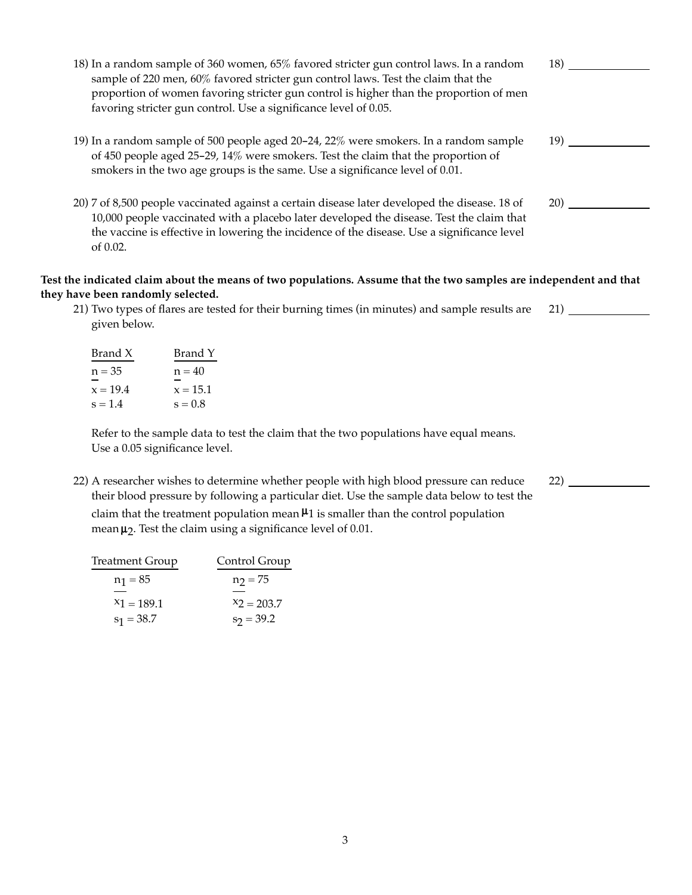| 18) In a random sample of 360 women, 65% favored stricter gun control laws. In a random<br>sample of 220 men, 60% favored stricter gun control laws. Test the claim that the<br>proportion of women favoring stricter gun control is higher than the proportion of men<br>favoring stricter gun control. Use a significance level of 0.05. | 18)  |
|--------------------------------------------------------------------------------------------------------------------------------------------------------------------------------------------------------------------------------------------------------------------------------------------------------------------------------------------|------|
| 19) In a random sample of 500 people aged 20–24, 22% were smokers. In a random sample<br>of 450 people aged 25-29, 14% were smokers. Test the claim that the proportion of<br>smokers in the two age groups is the same. Use a significance level of 0.01.                                                                                 | 19). |
| 20) 7 of 8,500 people vaccinated against a certain disease later developed the disease. 18 of<br>10,000 people vaccinated with a placebo later developed the disease. Test the claim that<br>the vaccine is effective in lowering the incidence of the disease. Use a significance level<br>of 0.02.                                       | 20)  |

## Test the indicated claim about the means of two populations. Assume that the two samples are independent and that **they have been randomly selected.**

21) Two types of flares are tested for their burning times (in minutes) and sample results are given below. 21)

| Brand X    | Brand Y    |
|------------|------------|
| $n = 35$   | $n = 40$   |
| $x = 19.4$ | $x = 15.1$ |
| $s = 1.4$  | $s = 0.8$  |

Refer to the sample data to test the claim that the two populations have equal means. Use a 0.05 significance level.

22) A researcher wishes to determine whether people with high blood pressure can reduce their blood pressure by following a particular diet. Use the sample data below to test the

22)

claim that the treatment population mean  $\mu_1$  is smaller than the control population mean  $\mu_2$ . Test the claim using a significance level of 0.01.

| Control Group |
|---------------|
| $n_2 = 75$    |
|               |
| $X_2 = 203.7$ |
| $s_2 = 39.2$  |
|               |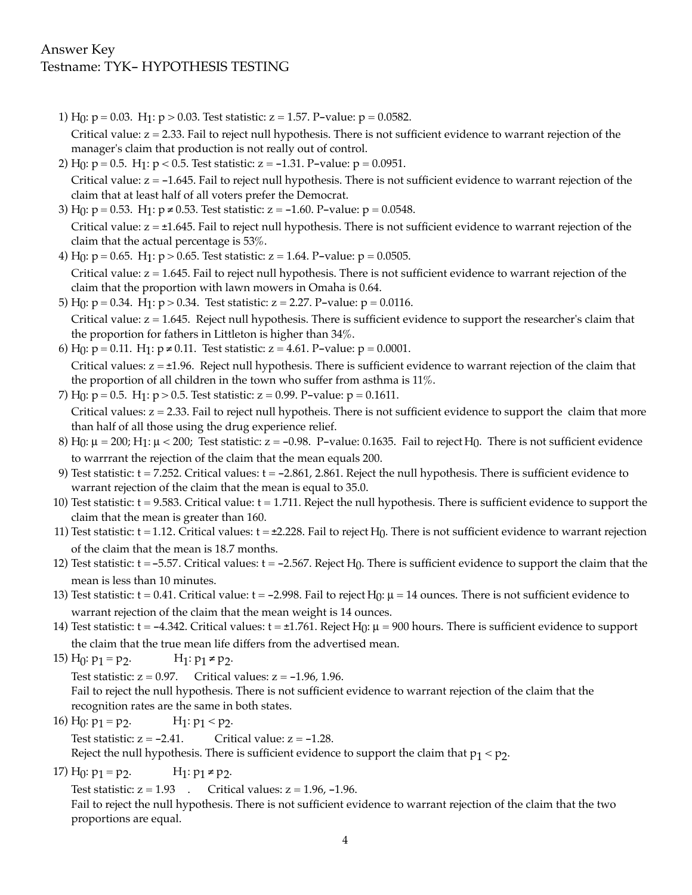## Answer Key Testname: TYK- HYPOTHESIS TESTING

- 1) H<sub>0</sub>:  $p = 0.03$ . H<sub>1</sub>:  $p > 0.03$ . Test statistic:  $z = 1.57$ . P-value:  $p = 0.0582$ . Critical value: z = 2.33. Fail to reject null hypothesis. There is not sufficient evidence to warrant rejection of the manager's claim that production is not really out of control.
- 2) H<sub>0</sub>:  $p = 0.5$ . H<sub>1</sub>:  $p < 0.5$ . Test statistic:  $z = -1.31$ . P-value:  $p = 0.0951$ . Critical value: z = -1.645. Fail to reject null hypothesis. There is not sufficient evidence to warrant rejection of the claim that at least half of all voters prefer the Democrat.
- 3) H<sub>0</sub>:  $p = 0.53$ . H<sub>1</sub>:  $p \neq 0.53$ . Test statistic:  $z = -1.60$ . P-value:  $p = 0.0548$ . Critical value:  $z = \pm 1.645$ . Fail to reject null hypothesis. There is not sufficient evidence to warrant rejection of the claim that the actual percentage is 53%.
- 4) H<sub>0</sub>:  $p = 0.65$ . H<sub>1</sub>:  $p > 0.65$ . Test statistic:  $z = 1.64$ . P-value:  $p = 0.0505$ . Critical value: z = 1.645. Fail to reject null hypothesis. There is not sufficient evidence to warrant rejection of the claim that the proportion with lawn mowers in Omaha is 0.64.
- 5) H<sub>0</sub>:  $p = 0.34$ . H<sub>1</sub>:  $p > 0.34$ . Test statistic:  $z = 2.27$ . P-value:  $p = 0.0116$ . Critical value: z = 1.645. Reject null hypothesis. There is sufficient evidence to support the researcher's claim that the proportion for fathers in Littleton is higher than 34%.
- 6) H<sub>0</sub>:  $p = 0.11$ . H<sub>1</sub>:  $p \ne 0.11$ . Test statistic:  $z = 4.61$ . P-value:  $p = 0.0001$ . Critical values:  $z = \pm 1.96$ . Reject null hypothesis. There is sufficient evidence to warrant rejection of the claim that the proportion of all children in the town who suffer from asthma is 11%.
- 7) H<sub>0</sub>:  $p = 0.5$ . H<sub>1</sub>:  $p > 0.5$ . Test statistic:  $z = 0.99$ . P-value:  $p = 0.1611$ . Critical values:  $z = 2.33$ . Fail to reject null hypotheis. There is not sufficient evidence to support the claim that more than half of all those using the drug experience relief.
- 8) H $\alpha$ :  $\mu$  = 200; H $\gamma$ :  $\mu$  < 200; Test statistic: z = -0.98. P-value: 0.1635. Fail to reject H $\alpha$ . There is not sufficient evidence to warrrant the rejection of the claim that the mean equals 200.
- 9) Test statistic:  $t = 7.252$ . Critical values:  $t = -2.861$ , 2.861. Reject the null hypothesis. There is sufficient evidence to warrant rejection of the claim that the mean is equal to 35.0.
- 10) Test statistic: t = 9.583. Critical value: t = 1.711. Reject the null hypothesis. There is sufficient evidence to support the claim that the mean is greater than 160.
- 11) Test statistic:  $t = 1.12$ . Critical values:  $t = \pm 2.228$ . Fail to reject H<sub>0</sub>. There is not sufficient evidence to warrant rejection of the claim that the mean is 18.7 months.
- 12) Test statistic:  $t = -5.57$ . Critical values:  $t = -2.567$ . Reject H<sub>0</sub>. There is sufficient evidence to support the claim that the mean is less than 10 minutes.
- 13) Test statistic:  $t = 0.41$ . Critical value:  $t = -2.998$ . Fail to reject  $H_0$ :  $\mu = 14$  ounces. There is not sufficient evidence to warrant rejection of the claim that the mean weight is 14 ounces.
- 14) Test statistic:  $t = -4.342$ . Critical values:  $t = \pm 1.761$ . Reject H<sub>0</sub>:  $\mu = 900$  hours. There is sufficient evidence to support the claim that the true mean life differs from the advertised mean.
- 15)  $H_0: p_1 = p_2$ .  $H_1: p_1 \neq p_2$ .

Test statistic:  $z = 0.97$ . Critical values:  $z = -1.96$ , 1.96.

Fail to reject the null hypothesis. There is not sufficient evidence to warrant rejection of the claim that the recognition rates are the same in both states.

- 16)  $H_0: p_1 = p_2$ .  $H_1: p_1 < p_2$ . Test statistic:  $z = -2.41$ . Critical value:  $z = -1.28$ . Reject the null hypothesis. There is sufficient evidence to support the claim that  $p_1 < p_2$ .
- 17) H<sub>0</sub>:  $p_1 = p_2$ . H<sub>1</sub>:  $p_1 \neq p_2$ .

Test statistic:  $z = 1.93$  . Critical values:  $z = 1.96, -1.96$ .

Fail to reject the null hypothesis. There is not sufficient evidence to warrant rejection of the claim that the two proportions are equal.